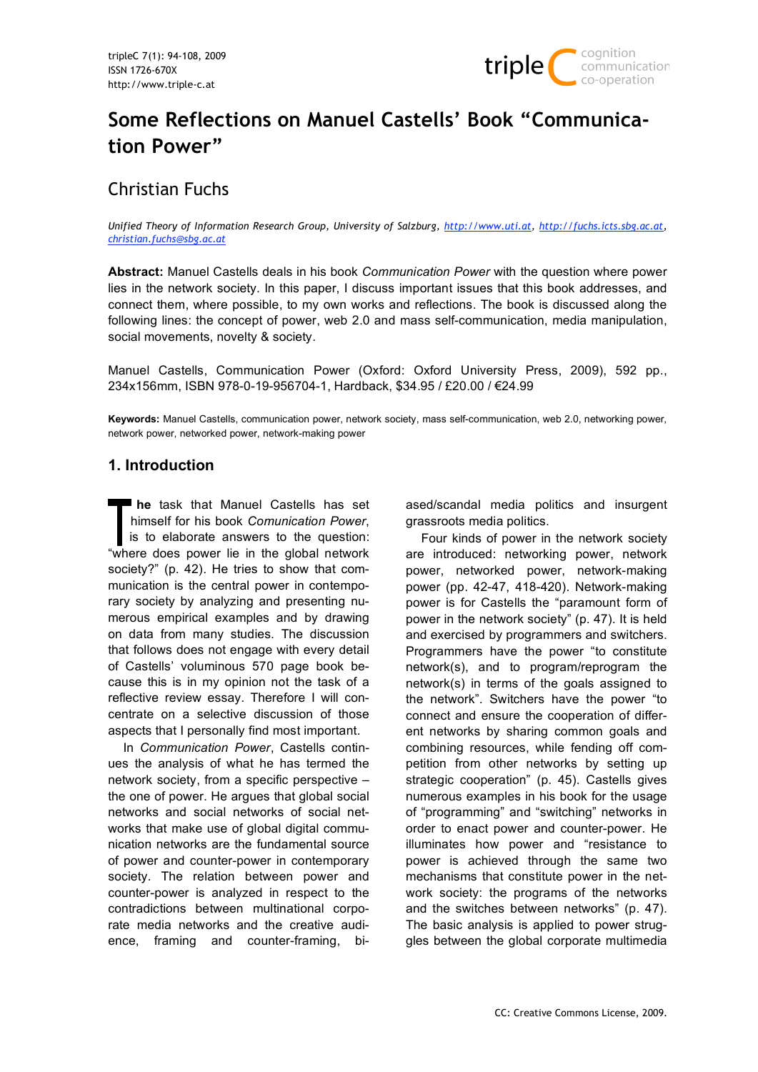

# **Some Reflections on Manuel Castells' Book "Communication Power"**

# Christian Fuchs

*Unified Theory of Information Research Group, University of Salzburg, http://www.uti.at, http://fuchs.icts.sbg.ac.at, christian.fuchs@sbg.ac.at*

**Abstract:** Manuel Castells deals in his book *Communication Power* with the question where power lies in the network society. In this paper, I discuss important issues that this book addresses, and connect them, where possible, to my own works and reflections. The book is discussed along the following lines: the concept of power, web 2.0 and mass self-communication, media manipulation, social movements, novelty & society.

Manuel Castells, Communication Power (Oxford: Oxford University Press, 2009), 592 pp., 234x156mm, ISBN 978-0-19-956704-1, Hardback, \$34,95 / £20,00 / €24,99

**Keywords:** Manuel Castells, communication power, network society, mass self-communication, web 2.0, networking power, network power, networked power, network-making power

# **1. Introduction**

**he** task that Manuel Castells has set himself for his book *Comunication Power*, is to elaborate answers to the question: "where does power lie in the global network society?" (p. 42). He tries to show that communication is the central power in contemporary society by analyzing and presenting numerous empirical examples and by drawing on data from many studies. The discussion that follows does not engage with every detail of Castells' voluminous 570 page book because this is in my opinion not the task of a reflective review essay. Therefore I will concentrate on a selective discussion of those aspects that I personally find most important.

In *Communication Power*, Castells continues the analysis of what he has termed the network society, from a specific perspective – the one of power. He argues that global social networks and social networks of social networks that make use of global digital communication networks are the fundamental source of power and counter-power in contemporary society. The relation between power and counter-power is analyzed in respect to the contradictions between multinational corporate media networks and the creative audience, framing and counter-framing, biased/scandal media politics and insurgent grassroots media politics.

Four kinds of power in the network society are introduced: networking power, network power, networked power, network-making power (pp. 42-47, 418-420). Network-making power is for Castells the "paramount form of power in the network society" (p. 47). It is held and exercised by programmers and switchers. Programmers have the power "to constitute network(s), and to program/reprogram the network(s) in terms of the goals assigned to the network". Switchers have the power "to connect and ensure the cooperation of different networks by sharing common goals and combining resources, while fending off competition from other networks by setting up strategic cooperation" (p. 45). Castells gives numerous examples in his book for the usage of "programming" and "switching" networks in order to enact power and counter-power. He illuminates how power and "resistance to power is achieved through the same two mechanisms that constitute power in the network society: the programs of the networks and the switches between networks" (p. 47). The basic analysis is applied to power struggles between the global corporate multimedia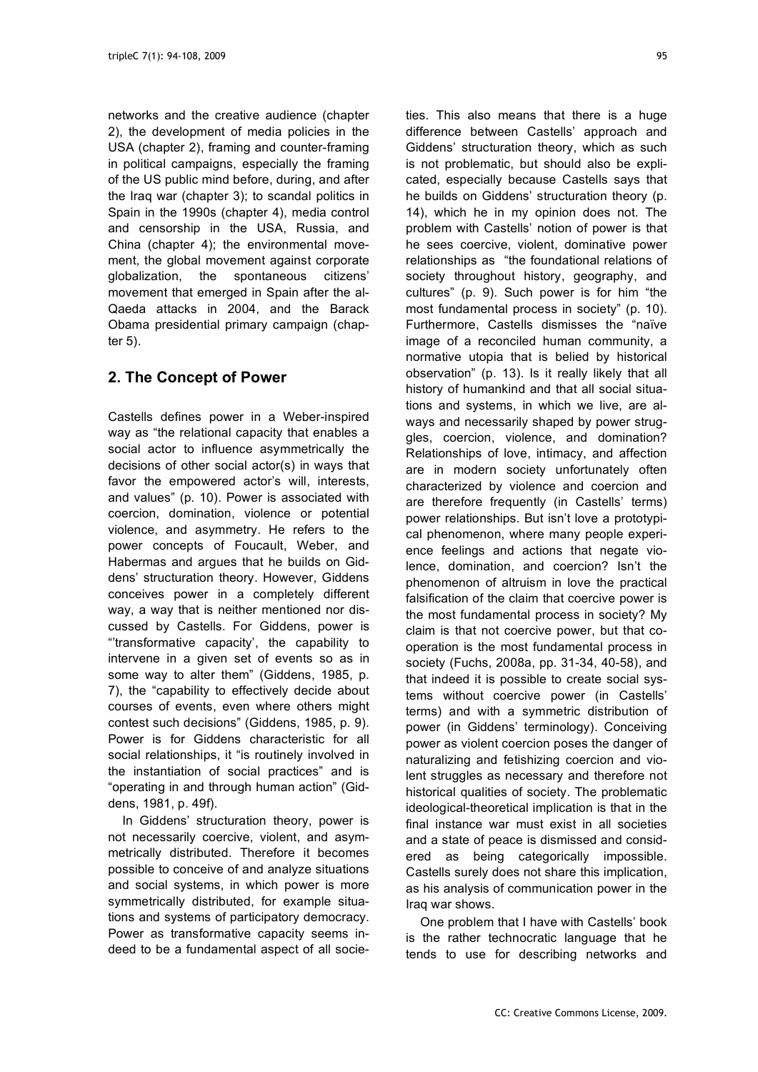networks and the creative audience (chapter 2), the development of media policies in the USA (chapter 2), framing and counter-framing in political campaigns, especially the framing of the US public mind before, during, and after the Iraq war (chapter 3); to scandal politics in Spain in the 1990s (chapter 4), media control and censorship in the USA, Russia, and China (chapter 4); the environmental movement, the global movement against corporate globalization, the spontaneous citizens' movement that emerged in Spain after the al-Qaeda attacks in 2004, and the Barack Obama presidential primary campaign (chapter 5).

### **2. The Concept of Power**

Castells defines power in a Weber-inspired way as "the relational capacity that enables a social actor to influence asymmetrically the decisions of other social actor(s) in ways that favor the empowered actor's will, interests, and values" (p. 10). Power is associated with coercion, domination, violence or potential violence, and asymmetry. He refers to the power concepts of Foucault, Weber, and Habermas and argues that he builds on Giddens' structuration theory. However, Giddens conceives power in a completely different way, a way that is neither mentioned nor discussed by Castells. For Giddens, power is "'transformative capacity', the capability to intervene in a given set of events so as in some way to alter them" (Giddens, 1985, p. 7), the "capability to effectively decide about courses of events, even where others might contest such decisions" (Giddens, 1985, p. 9). Power is for Giddens characteristic for all social relationships, it "is routinely involved in the instantiation of social practices" and is "operating in and through human action" (Giddens, 1981, p. 49f).

In Giddens' structuration theory, power is not necessarily coercive, violent, and asymmetrically distributed. Therefore it becomes possible to conceive of and analyze situations and social systems, in which power is more symmetrically distributed, for example situations and systems of participatory democracy. Power as transformative capacity seems indeed to be a fundamental aspect of all societies. This also means that there is a huge difference between Castells' approach and Giddens' structuration theory, which as such is not problematic, but should also be explicated, especially because Castells says that he builds on Giddens' structuration theory (p. 14), which he in my opinion does not. The problem with Castells' notion of power is that he sees coercive, violent, dominative power relationships as "the foundational relations of society throughout history, geography, and cultures" (p. 9). Such power is for him "the most fundamental process in society" (p. 10). Furthermore, Castells dismisses the "naïve image of a reconciled human community, a normative utopia that is belied by historical observation" (p. 13). Is it really likely that all history of humankind and that all social situations and systems, in which we live, are always and necessarily shaped by power struggles, coercion, violence, and domination? Relationships of love, intimacy, and affection are in modern society unfortunately often characterized by violence and coercion and are therefore frequently (in Castells' terms) power relationships. But isn't love a prototypical phenomenon, where many people experience feelings and actions that negate violence, domination, and coercion? Isn't the phenomenon of altruism in love the practical falsification of the claim that coercive power is the most fundamental process in society? My claim is that not coercive power, but that cooperation is the most fundamental process in society (Fuchs, 2008a, pp. 31-34, 40-58), and that indeed it is possible to create social systems without coercive power (in Castells' terms) and with a symmetric distribution of power (in Giddens' terminology). Conceiving power as violent coercion poses the danger of naturalizing and fetishizing coercion and violent struggles as necessary and therefore not historical qualities of society. The problematic ideological-theoretical implication is that in the final instance war must exist in all societies and a state of peace is dismissed and considered as being categorically impossible. Castells surely does not share this implication, as his analysis of communication power in the Iraq war shows.

One problem that I have with Castells' book is the rather technocratic language that he tends to use for describing networks and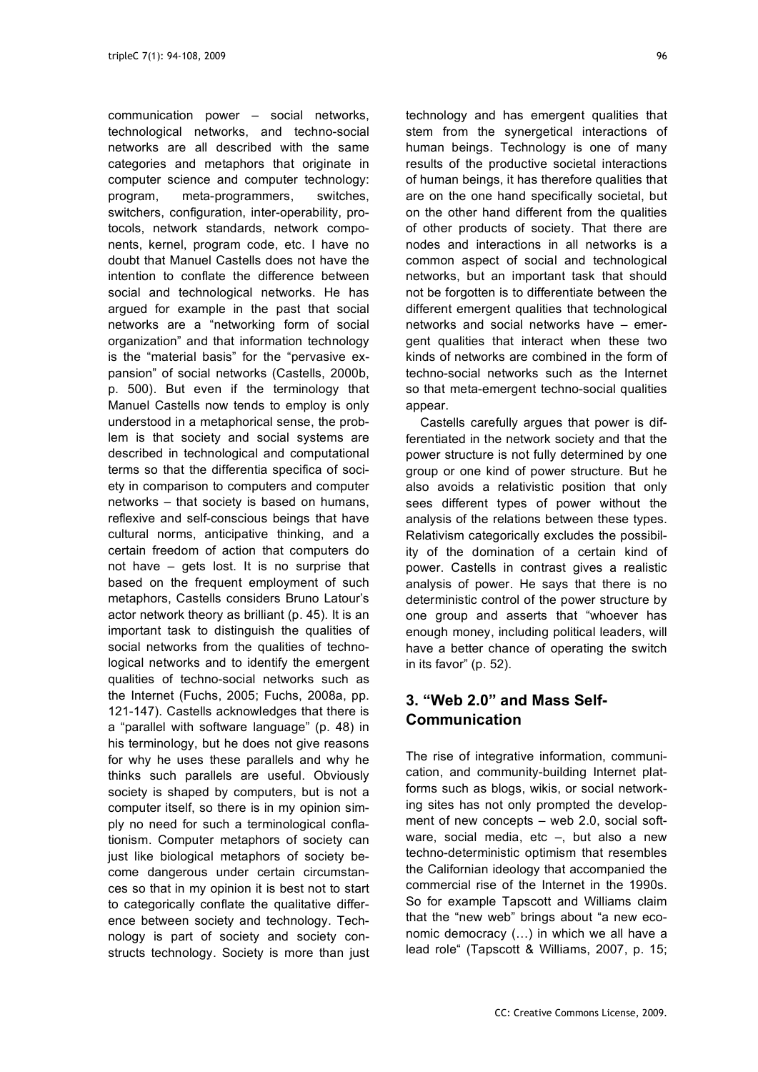communication power – social networks, technological networks, and techno-social networks are all described with the same categories and metaphors that originate in computer science and computer technology: program, meta-programmers, switches, switchers, configuration, inter-operability, protocols, network standards, network components, kernel, program code, etc. I have no doubt that Manuel Castells does not have the intention to conflate the difference between social and technological networks. He has argued for example in the past that social networks are a "networking form of social organization" and that information technology is the "material basis" for the "pervasive expansion" of social networks (Castells, 2000b, p. 500). But even if the terminology that Manuel Castells now tends to employ is only understood in a metaphorical sense, the problem is that society and social systems are described in technological and computational terms so that the differentia specifica of society in comparison to computers and computer networks – that society is based on humans, reflexive and self-conscious beings that have cultural norms, anticipative thinking, and a certain freedom of action that computers do not have – gets lost. It is no surprise that based on the frequent employment of such metaphors, Castells considers Bruno Latour's actor network theory as brilliant (p. 45). It is an important task to distinguish the qualities of social networks from the qualities of technological networks and to identify the emergent qualities of techno-social networks such as the Internet (Fuchs, 2005; Fuchs, 2008a, pp. 121-147). Castells acknowledges that there is a "parallel with software language" (p. 48) in his terminology, but he does not give reasons for why he uses these parallels and why he thinks such parallels are useful. Obviously society is shaped by computers, but is not a computer itself, so there is in my opinion simply no need for such a terminological conflationism. Computer metaphors of society can just like biological metaphors of society become dangerous under certain circumstances so that in my opinion it is best not to start to categorically conflate the qualitative difference between society and technology. Technology is part of society and society constructs technology. Society is more than just technology and has emergent qualities that stem from the synergetical interactions of human beings. Technology is one of many results of the productive societal interactions of human beings, it has therefore qualities that are on the one hand specifically societal, but on the other hand different from the qualities of other products of society. That there are nodes and interactions in all networks is a common aspect of social and technological networks, but an important task that should not be forgotten is to differentiate between the different emergent qualities that technological networks and social networks have – emergent qualities that interact when these two kinds of networks are combined in the form of techno-social networks such as the Internet so that meta-emergent techno-social qualities appear.

Castells carefully argues that power is differentiated in the network society and that the power structure is not fully determined by one group or one kind of power structure. But he also avoids a relativistic position that only sees different types of power without the analysis of the relations between these types. Relativism categorically excludes the possibility of the domination of a certain kind of power. Castells in contrast gives a realistic analysis of power. He says that there is no deterministic control of the power structure by one group and asserts that "whoever has enough money, including political leaders, will have a better chance of operating the switch in its favor" (p. 52).

# **3. "Web 2.0" and Mass Self-Communication**

The rise of integrative information, communication, and community-building Internet platforms such as blogs, wikis, or social networking sites has not only prompted the development of new concepts – web 2.0, social software, social media, etc  $-$ , but also a new techno-deterministic optimism that resembles the Californian ideology that accompanied the commercial rise of the Internet in the 1990s. So for example Tapscott and Williams claim that the "new web" brings about "a new economic democracy (…) in which we all have a lead role" (Tapscott & Williams, 2007, p. 15;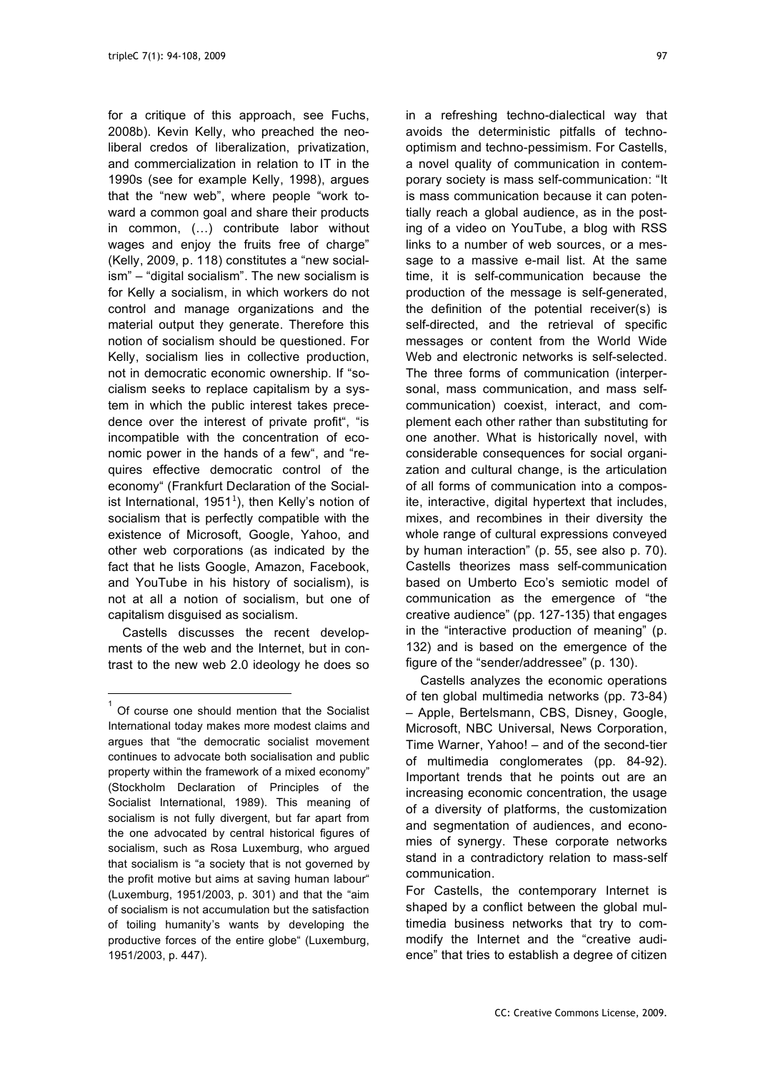for a critique of this approach, see Fuchs, 2008b). Kevin Kelly, who preached the neoliberal credos of liberalization, privatization, and commercialization in relation to IT in the 1990s (see for example Kelly, 1998), argues that the "new web", where people "work toward a common goal and share their products in common, (…) contribute labor without wages and enjoy the fruits free of charge" (Kelly, 2009, p. 118) constitutes a "new socialism" – "digital socialism". The new socialism is for Kelly a socialism, in which workers do not control and manage organizations and the material output they generate. Therefore this notion of socialism should be questioned. For Kelly, socialism lies in collective production, not in democratic economic ownership. If "socialism seeks to replace capitalism by a system in which the public interest takes precedence over the interest of private profit", "is incompatible with the concentration of economic power in the hands of a few", and "requires effective democratic control of the economy" (Frankfurt Declaration of the Socialist International, 1951<sup>1</sup>), then Kelly's notion of socialism that is perfectly compatible with the existence of Microsoft, Google, Yahoo, and other web corporations (as indicated by the fact that he lists Google, Amazon, Facebook, and YouTube in his history of socialism), is not at all a notion of socialism, but one of capitalism disguised as socialism.

Castells discusses the recent developments of the web and the Internet, but in contrast to the new web 2.0 ideology he does so

in a refreshing techno-dialectical way that avoids the deterministic pitfalls of technooptimism and techno-pessimism. For Castells, a novel quality of communication in contemporary society is mass self-communication: "It is mass communication because it can potentially reach a global audience, as in the posting of a video on YouTube, a blog with RSS links to a number of web sources, or a message to a massive e-mail list. At the same time, it is self-communication because the production of the message is self-generated, the definition of the potential receiver(s) is self-directed, and the retrieval of specific messages or content from the World Wide Web and electronic networks is self-selected. The three forms of communication (interpersonal, mass communication, and mass selfcommunication) coexist, interact, and complement each other rather than substituting for one another. What is historically novel, with considerable consequences for social organization and cultural change, is the articulation of all forms of communication into a composite, interactive, digital hypertext that includes, mixes, and recombines in their diversity the whole range of cultural expressions conveyed by human interaction" (p. 55, see also p. 70). Castells theorizes mass self-communication based on Umberto Eco's semiotic model of communication as the emergence of "the creative audience" (pp. 127-135) that engages in the "interactive production of meaning" (p. 132) and is based on the emergence of the figure of the "sender/addressee" (p. 130).

Castells analyzes the economic operations of ten global multimedia networks (pp. 73-84) – Apple, Bertelsmann, CBS, Disney, Google, Microsoft, NBC Universal, News Corporation, Time Warner, Yahoo! – and of the second-tier of multimedia conglomerates (pp. 84-92). Important trends that he points out are an increasing economic concentration, the usage of a diversity of platforms, the customization and segmentation of audiences, and economies of synergy. These corporate networks stand in a contradictory relation to mass-self communication.

For Castells, the contemporary Internet is shaped by a conflict between the global mul-

 $\overline{1}$  $1$  Of course one should mention that the Socialist International today makes more modest claims and argues that "the democratic socialist movement continues to advocate both socialisation and public property within the framework of a mixed economy" (Stockholm Declaration of Principles of the Socialist International, 1989). This meaning of socialism is not fully divergent, but far apart from the one advocated by central historical figures of socialism, such as Rosa Luxemburg, who argued that socialism is "a society that is not governed by the profit motive but aims at saving human labour" (Luxemburg, 1951/2003, p. 301) and that the "aim of socialism is not accumulation but the satisfaction of toiling humanity's wants by developing the productive forces of the entire globe" (Luxemburg, 1951/2003, p. 447).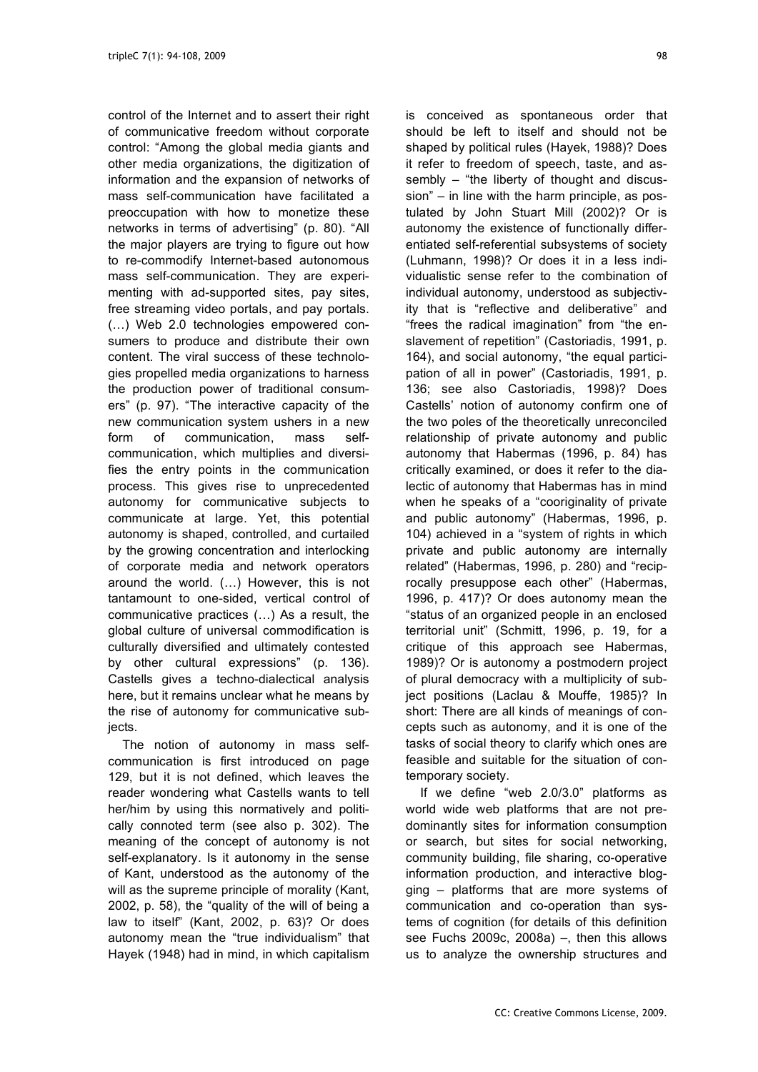control of the Internet and to assert their right of communicative freedom without corporate control: "Among the global media giants and other media organizations, the digitization of information and the expansion of networks of mass self-communication have facilitated a preoccupation with how to monetize these networks in terms of advertising" (p. 80). "All the major players are trying to figure out how to re-commodify Internet-based autonomous mass self-communication. They are experimenting with ad-supported sites, pay sites, free streaming video portals, and pay portals. (…) Web 2.0 technologies empowered consumers to produce and distribute their own content. The viral success of these technologies propelled media organizations to harness the production power of traditional consumers" (p. 97). "The interactive capacity of the new communication system ushers in a new form of communication, mass selfcommunication, which multiplies and diversifies the entry points in the communication process. This gives rise to unprecedented autonomy for communicative subjects to communicate at large. Yet, this potential autonomy is shaped, controlled, and curtailed by the growing concentration and interlocking of corporate media and network operators around the world. (…) However, this is not tantamount to one-sided, vertical control of communicative practices (…) As a result, the global culture of universal commodification is culturally diversified and ultimately contested by other cultural expressions" (p. 136). Castells gives a techno-dialectical analysis here, but it remains unclear what he means by the rise of autonomy for communicative subjects.

The notion of autonomy in mass selfcommunication is first introduced on page 129, but it is not defined, which leaves the reader wondering what Castells wants to tell her/him by using this normatively and politically connoted term (see also p. 302). The meaning of the concept of autonomy is not self-explanatory. Is it autonomy in the sense of Kant, understood as the autonomy of the will as the supreme principle of morality (Kant, 2002, p. 58), the "quality of the will of being a law to itself" (Kant, 2002, p. 63)? Or does autonomy mean the "true individualism" that Hayek (1948) had in mind, in which capitalism

is conceived as spontaneous order that should be left to itself and should not be shaped by political rules (Hayek, 1988)? Does it refer to freedom of speech, taste, and assembly – "the liberty of thought and discussion" – in line with the harm principle, as postulated by John Stuart Mill (2002)? Or is autonomy the existence of functionally differentiated self-referential subsystems of society (Luhmann, 1998)? Or does it in a less individualistic sense refer to the combination of individual autonomy, understood as subjectivity that is "reflective and deliberative" and "frees the radical imagination" from "the enslavement of repetition" (Castoriadis, 1991, p. 164), and social autonomy, "the equal participation of all in power" (Castoriadis, 1991, p. 136; see also Castoriadis, 1998)? Does Castells' notion of autonomy confirm one of the two poles of the theoretically unreconciled relationship of private autonomy and public autonomy that Habermas (1996, p. 84) has critically examined, or does it refer to the dialectic of autonomy that Habermas has in mind when he speaks of a "cooriginality of private and public autonomy" (Habermas, 1996, p. 104) achieved in a "system of rights in which private and public autonomy are internally related" (Habermas, 1996, p. 280) and "reciprocally presuppose each other" (Habermas, 1996, p. 417)? Or does autonomy mean the "status of an organized people in an enclosed territorial unit" (Schmitt, 1996, p. 19, for a critique of this approach see Habermas, 1989)? Or is autonomy a postmodern project of plural democracy with a multiplicity of subject positions (Laclau & Mouffe, 1985)? In short: There are all kinds of meanings of concepts such as autonomy, and it is one of the tasks of social theory to clarify which ones are feasible and suitable for the situation of contemporary society.

If we define "web 2.0/3.0" platforms as world wide web platforms that are not predominantly sites for information consumption or search, but sites for social networking, community building, file sharing, co-operative information production, and interactive blogging – platforms that are more systems of communication and co-operation than systems of cognition (for details of this definition see Fuchs 2009c, 2008a)  $-$ , then this allows us to analyze the ownership structures and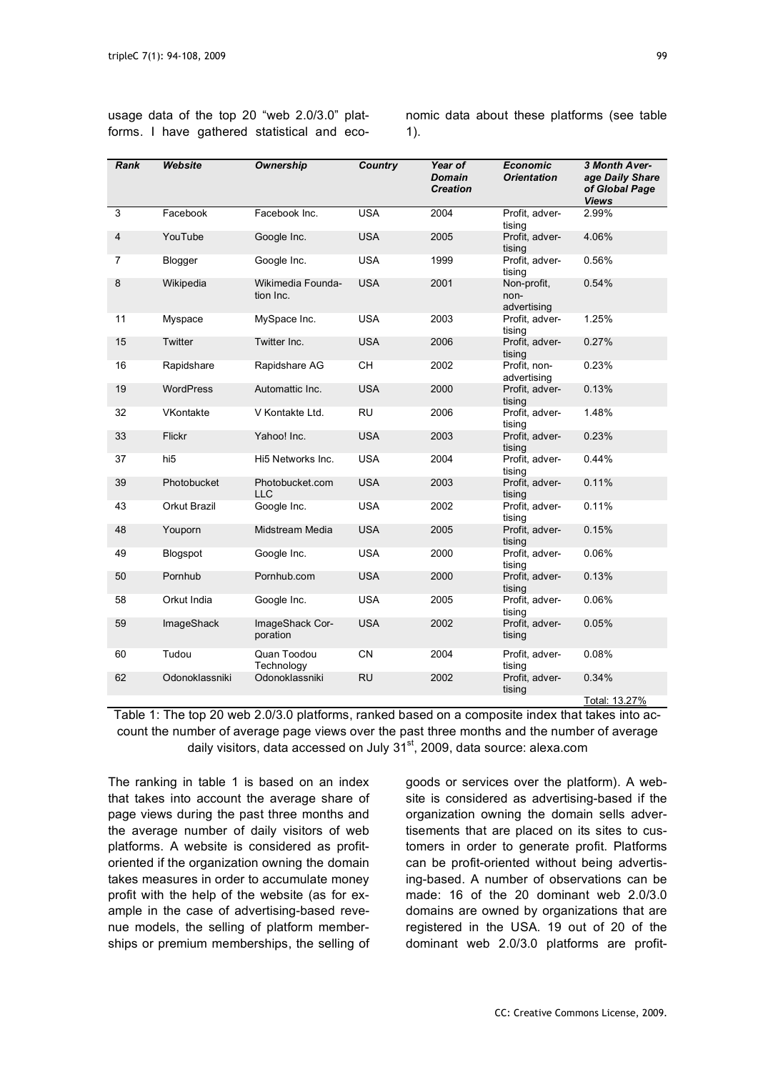| Rank | Website          | <b>Ownership</b>               | <b>Country</b> | Year of<br><b>Domain</b><br><b>Creation</b> | <b>Economic</b><br><b>Orientation</b> | 3 Month Aver-<br>age Daily Share<br>of Global Page<br><b>Views</b> |
|------|------------------|--------------------------------|----------------|---------------------------------------------|---------------------------------------|--------------------------------------------------------------------|
| 3    | Facebook         | Facebook Inc.                  | <b>USA</b>     | 2004                                        | Profit, adver-<br>tising              | 2.99%                                                              |
| 4    | YouTube          | Google Inc.                    | <b>USA</b>     | 2005                                        | Profit, adver-<br>tising              | 4.06%                                                              |
| 7    | <b>Blogger</b>   | Google Inc.                    | <b>USA</b>     | 1999                                        | Profit, adver-<br>tising              | 0.56%                                                              |
| 8    | Wikipedia        | Wikimedia Founda-<br>tion Inc. | <b>USA</b>     | 2001                                        | Non-profit,<br>non-<br>advertising    | 0.54%                                                              |
| 11   | Myspace          | MySpace Inc.                   | <b>USA</b>     | 2003                                        | Profit, adver-<br>tising              | 1.25%                                                              |
| 15   | Twitter          | Twitter Inc.                   | <b>USA</b>     | 2006                                        | Profit, adver-<br>tising              | 0.27%                                                              |
| 16   | Rapidshare       | Rapidshare AG                  | CН             | 2002                                        | Profit, non-<br>advertising           | 0.23%                                                              |
| 19   | <b>WordPress</b> | Automattic Inc.                | <b>USA</b>     | 2000                                        | Profit, adver-<br>tising              | 0.13%                                                              |
| 32   | VKontakte        | V Kontakte Ltd.                | <b>RU</b>      | 2006                                        | Profit, adver-<br>tising              | 1.48%                                                              |
| 33   | Flickr           | Yahoo! Inc.                    | <b>USA</b>     | 2003                                        | Profit, adver-<br>tising              | 0.23%                                                              |
| 37   | hi5              | Hi5 Networks Inc.              | <b>USA</b>     | 2004                                        | Profit, adver-<br>tising              | 0.44%                                                              |
| 39   | Photobucket      | Photobucket.com<br><b>LLC</b>  | <b>USA</b>     | 2003                                        | Profit, adver-<br>tising              | 0.11%                                                              |
| 43   | Orkut Brazil     | Google Inc.                    | <b>USA</b>     | 2002                                        | Profit, adver-<br>tisina              | 0.11%                                                              |
| 48   | Youporn          | Midstream Media                | <b>USA</b>     | 2005                                        | Profit, adver-<br>tising              | 0.15%                                                              |
| 49   | Blogspot         | Google Inc.                    | <b>USA</b>     | 2000                                        | Profit, adver-<br>tising              | 0.06%                                                              |
| 50   | Pornhub          | Pornhub.com                    | <b>USA</b>     | 2000                                        | Profit, adver-<br>tising              | 0.13%                                                              |
| 58   | Orkut India      | Google Inc.                    | <b>USA</b>     | 2005                                        | Profit, adver-<br>tising              | 0.06%                                                              |
| 59   | ImageShack       | ImageShack Cor-<br>poration    | <b>USA</b>     | 2002                                        | Profit, adver-<br>tising              | 0.05%                                                              |
| 60   | Tudou            | Quan Toodou<br>Technology      | <b>CN</b>      | 2004                                        | Profit, adver-<br>tising              | 0.08%                                                              |
| 62   | Odonoklassniki   | Odonoklassniki                 | <b>RU</b>      | 2002                                        | Profit, adver-<br>tising              | 0.34%                                                              |
|      |                  |                                |                |                                             |                                       | Total: 13.27%                                                      |

usage data of the top 20 "web 2.0/3.0" platforms. I have gathered statistical and economic data about these platforms (see table 1).

Table 1: The top 20 web 2.0/3.0 platforms, ranked based on a composite index that takes into account the number of average page views over the past three months and the number of average daily visitors, data accessed on July 31<sup>st</sup>, 2009, data source: alexa.com

The ranking in table 1 is based on an index that takes into account the average share of page views during the past three months and the average number of daily visitors of web platforms. A website is considered as profitoriented if the organization owning the domain takes measures in order to accumulate money profit with the help of the website (as for example in the case of advertising-based revenue models, the selling of platform memberships or premium memberships, the selling of goods or services over the platform). A website is considered as advertising-based if the organization owning the domain sells advertisements that are placed on its sites to customers in order to generate profit. Platforms can be profit-oriented without being advertising-based. A number of observations can be made: 16 of the 20 dominant web 2.0/3.0 domains are owned by organizations that are registered in the USA. 19 out of 20 of the dominant web 2.0/3.0 platforms are profit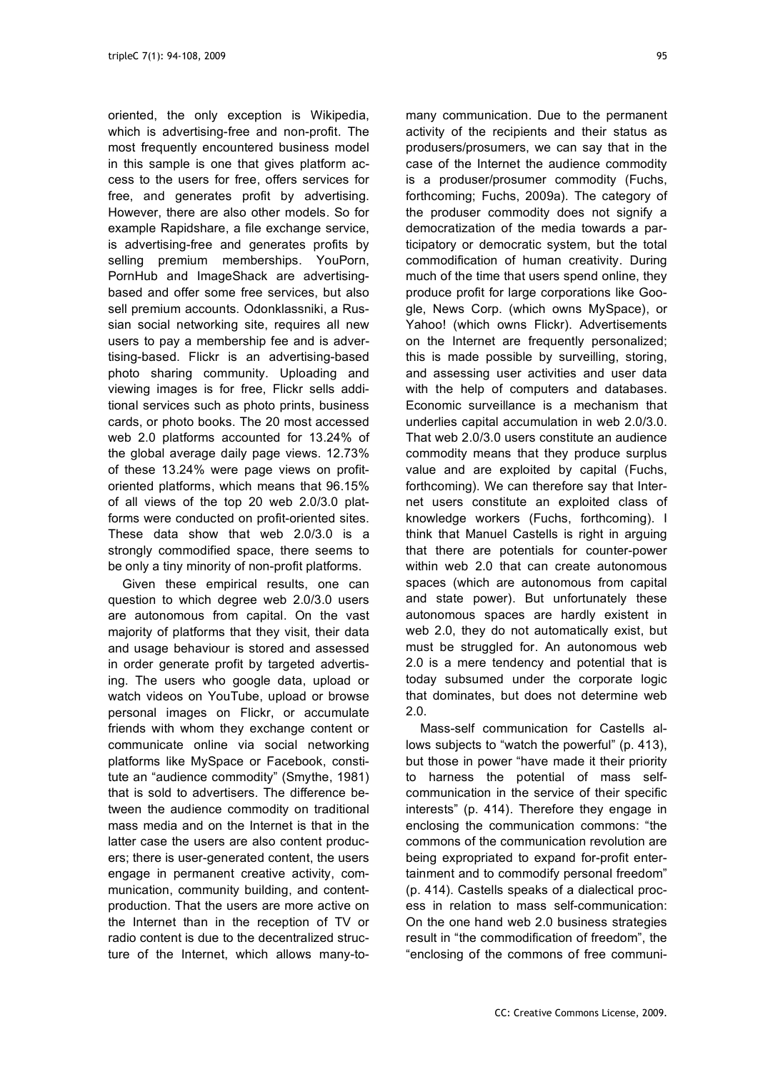oriented, the only exception is Wikipedia, which is advertising-free and non-profit. The most frequently encountered business model in this sample is one that gives platform access to the users for free, offers services for free, and generates profit by advertising. However, there are also other models. So for example Rapidshare, a file exchange service, is advertising-free and generates profits by selling premium memberships. YouPorn, PornHub and ImageShack are advertisingbased and offer some free services, but also sell premium accounts. Odonklassniki, a Russian social networking site, requires all new users to pay a membership fee and is advertising-based. Flickr is an advertising-based photo sharing community. Uploading and viewing images is for free, Flickr sells additional services such as photo prints, business cards, or photo books. The 20 most accessed web 2.0 platforms accounted for 13.24% of the global average daily page views. 12.73% of these 13.24% were page views on profitoriented platforms, which means that 96.15% of all views of the top 20 web 2.0/3.0 platforms were conducted on profit-oriented sites. These data show that web 2.0/3.0 is a strongly commodified space, there seems to be only a tiny minority of non-profit platforms.

Given these empirical results, one can question to which degree web 2.0/3.0 users are autonomous from capital. On the vast majority of platforms that they visit, their data and usage behaviour is stored and assessed in order generate profit by targeted advertising. The users who google data, upload or watch videos on YouTube, upload or browse personal images on Flickr, or accumulate friends with whom they exchange content or communicate online via social networking platforms like MySpace or Facebook, constitute an "audience commodity" (Smythe, 1981) that is sold to advertisers. The difference between the audience commodity on traditional mass media and on the Internet is that in the latter case the users are also content producers; there is user-generated content, the users engage in permanent creative activity, communication, community building, and contentproduction. That the users are more active on the Internet than in the reception of TV or radio content is due to the decentralized structure of the Internet, which allows many-to-

many communication. Due to the permanent activity of the recipients and their status as produsers/prosumers, we can say that in the case of the Internet the audience commodity is a produser/prosumer commodity (Fuchs, forthcoming; Fuchs, 2009a). The category of the produser commodity does not signify a democratization of the media towards a participatory or democratic system, but the total commodification of human creativity. During much of the time that users spend online, they produce profit for large corporations like Google, News Corp. (which owns MySpace), or Yahoo! (which owns Flickr). Advertisements on the Internet are frequently personalized; this is made possible by surveilling, storing, and assessing user activities and user data with the help of computers and databases. Economic surveillance is a mechanism that underlies capital accumulation in web 2.0/3.0. That web 2.0/3.0 users constitute an audience commodity means that they produce surplus value and are exploited by capital (Fuchs, forthcoming). We can therefore say that Internet users constitute an exploited class of knowledge workers (Fuchs, forthcoming). I think that Manuel Castells is right in arguing that there are potentials for counter-power within web 2.0 that can create autonomous spaces (which are autonomous from capital and state power). But unfortunately these autonomous spaces are hardly existent in web 2.0, they do not automatically exist, but must be struggled for. An autonomous web 2.0 is a mere tendency and potential that is today subsumed under the corporate logic that dominates, but does not determine web 2.0.

Mass-self communication for Castells allows subjects to "watch the powerful" (p. 413), but those in power "have made it their priority to harness the potential of mass selfcommunication in the service of their specific interests" (p. 414). Therefore they engage in enclosing the communication commons: "the commons of the communication revolution are being expropriated to expand for-profit entertainment and to commodify personal freedom" (p. 414). Castells speaks of a dialectical process in relation to mass self-communication: On the one hand web 2.0 business strategies result in "the commodification of freedom", the "enclosing of the commons of free communi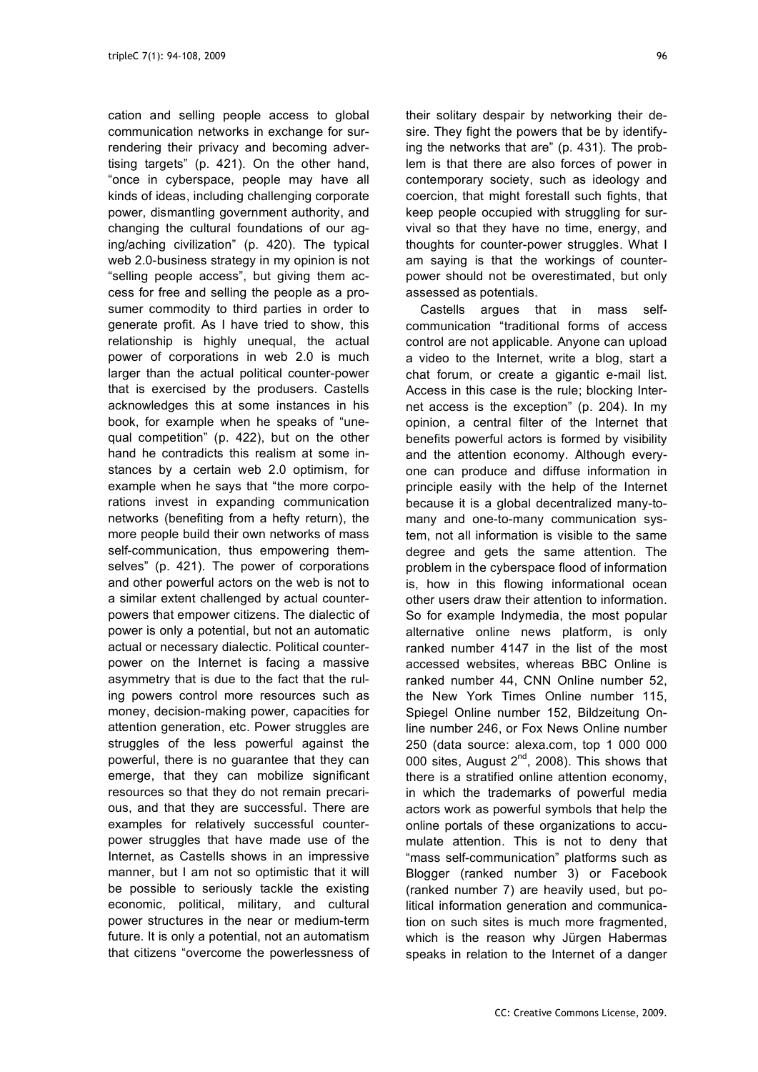cation and selling people access to global communication networks in exchange for surrendering their privacy and becoming advertising targets" (p. 421). On the other hand, "once in cyberspace, people may have all kinds of ideas, including challenging corporate power, dismantling government authority, and changing the cultural foundations of our aging/aching civilization" (p. 420). The typical web 2.0-business strategy in my opinion is not "selling people access", but giving them access for free and selling the people as a prosumer commodity to third parties in order to generate profit. As I have tried to show, this relationship is highly unequal, the actual power of corporations in web 2.0 is much larger than the actual political counter-power that is exercised by the produsers. Castells acknowledges this at some instances in his book, for example when he speaks of "unequal competition" (p. 422), but on the other hand he contradicts this realism at some instances by a certain web 2.0 optimism, for example when he says that "the more corporations invest in expanding communication networks (benefiting from a hefty return), the more people build their own networks of mass self-communication, thus empowering themselves" (p. 421). The power of corporations and other powerful actors on the web is not to a similar extent challenged by actual counterpowers that empower citizens. The dialectic of power is only a potential, but not an automatic actual or necessary dialectic. Political counterpower on the Internet is facing a massive asymmetry that is due to the fact that the ruling powers control more resources such as money, decision-making power, capacities for attention generation, etc. Power struggles are struggles of the less powerful against the powerful, there is no guarantee that they can emerge, that they can mobilize significant resources so that they do not remain precarious, and that they are successful. There are examples for relatively successful counterpower struggles that have made use of the Internet, as Castells shows in an impressive manner, but I am not so optimistic that it will be possible to seriously tackle the existing economic, political, military, and cultural power structures in the near or medium-term future. It is only a potential, not an automatism that citizens "overcome the powerlessness of

their solitary despair by networking their desire. They fight the powers that be by identifying the networks that are" (p. 431). The problem is that there are also forces of power in contemporary society, such as ideology and coercion, that might forestall such fights, that keep people occupied with struggling for survival so that they have no time, energy, and thoughts for counter-power struggles. What I am saying is that the workings of counterpower should not be overestimated, but only assessed as potentials.

Castells argues that in mass selfcommunication "traditional forms of access control are not applicable. Anyone can upload a video to the Internet, write a blog, start a chat forum, or create a gigantic e-mail list. Access in this case is the rule; blocking Internet access is the exception" (p. 204). In my opinion, a central filter of the Internet that benefits powerful actors is formed by visibility and the attention economy. Although everyone can produce and diffuse information in principle easily with the help of the Internet because it is a global decentralized many-tomany and one-to-many communication system, not all information is visible to the same degree and gets the same attention. The problem in the cyberspace flood of information is, how in this flowing informational ocean other users draw their attention to information. So for example Indymedia, the most popular alternative online news platform, is only ranked number 4147 in the list of the most accessed websites, whereas BBC Online is ranked number 44, CNN Online number 52, the New York Times Online number 115, Spiegel Online number 152, Bildzeitung Online number 246, or Fox News Online number 250 (data source: alexa.com, top 1 000 000 000 sites, August 2<sup>nd</sup>, 2008). This shows that there is a stratified online attention economy, in which the trademarks of powerful media actors work as powerful symbols that help the online portals of these organizations to accumulate attention. This is not to deny that "mass self-communication" platforms such as Blogger (ranked number 3) or Facebook (ranked number 7) are heavily used, but political information generation and communication on such sites is much more fragmented, which is the reason why Jürgen Habermas speaks in relation to the Internet of a danger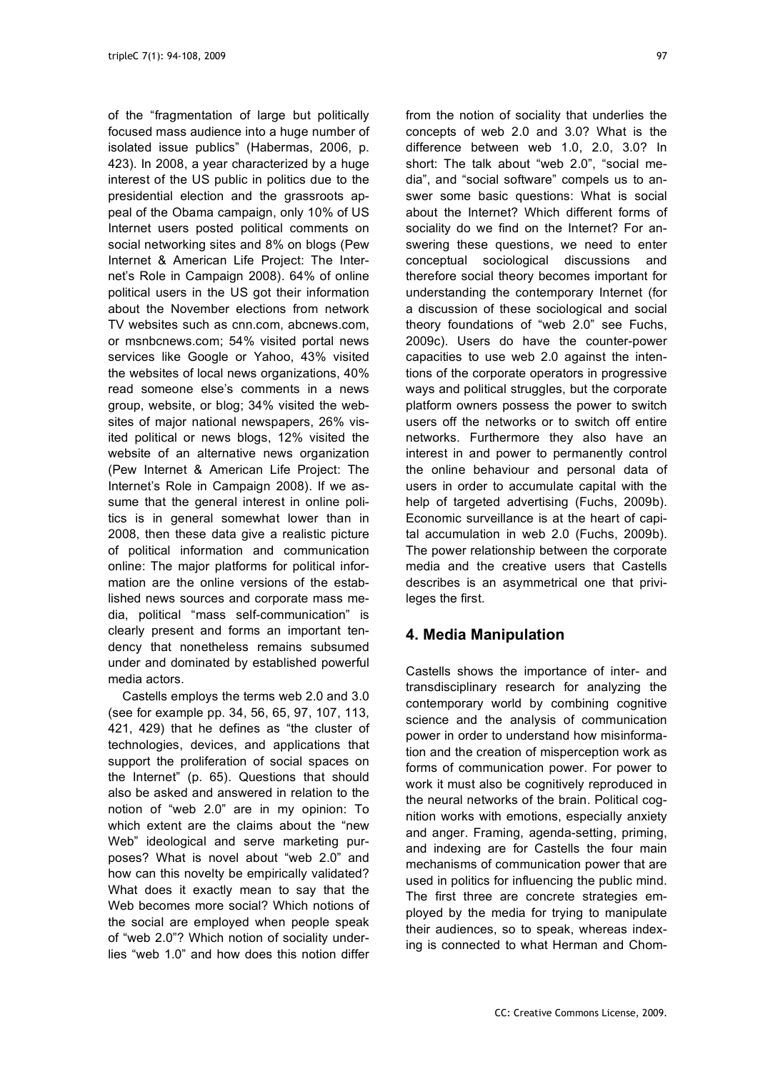of the "fragmentation of large but politically focused mass audience into a huge number of isolated issue publics" (Habermas, 2006, p. 423). In 2008, a year characterized by a huge interest of the US public in politics due to the presidential election and the grassroots appeal of the Obama campaign, only 10% of US Internet users posted political comments on social networking sites and 8% on blogs (Pew Internet & American Life Project: The Internet's Role in Campaign 2008). 64% of online political users in the US got their information about the November elections from network TV websites such as cnn.com, abcnews.com, or msnbcnews.com; 54% visited portal news services like Google or Yahoo, 43% visited the websites of local news organizations, 40% read someone else's comments in a news group, website, or blog; 34% visited the websites of major national newspapers, 26% visited political or news blogs, 12% visited the website of an alternative news organization (Pew Internet & American Life Project: The Internet's Role in Campaign 2008). If we assume that the general interest in online politics is in general somewhat lower than in 2008, then these data give a realistic picture of political information and communication online: The major platforms for political information are the online versions of the established news sources and corporate mass media, political "mass self-communication" is clearly present and forms an important tendency that nonetheless remains subsumed under and dominated by established powerful media actors.

Castells employs the terms web 2.0 and 3.0 (see for example pp. 34, 56, 65, 97, 107, 113, 421, 429) that he defines as "the cluster of technologies, devices, and applications that support the proliferation of social spaces on the Internet" (p. 65). Questions that should also be asked and answered in relation to the notion of "web 2.0" are in my opinion: To which extent are the claims about the "new Web" ideological and serve marketing purposes? What is novel about "web 2.0" and how can this novelty be empirically validated? What does it exactly mean to say that the Web becomes more social? Which notions of the social are employed when people speak of "web 2.0"? Which notion of sociality underlies "web 1.0" and how does this notion differ

from the notion of sociality that underlies the concepts of web 2.0 and 3.0? What is the difference between web 1.0, 2.0, 3.0? In short: The talk about "web 2.0", "social media", and "social software" compels us to answer some basic questions: What is social about the Internet? Which different forms of sociality do we find on the Internet? For answering these questions, we need to enter conceptual sociological discussions and therefore social theory becomes important for understanding the contemporary Internet (for a discussion of these sociological and social theory foundations of "web 2.0" see Fuchs, 2009c). Users do have the counter-power capacities to use web 2.0 against the intentions of the corporate operators in progressive ways and political struggles, but the corporate platform owners possess the power to switch users off the networks or to switch off entire networks. Furthermore they also have an interest in and power to permanently control the online behaviour and personal data of users in order to accumulate capital with the help of targeted advertising (Fuchs, 2009b). Economic surveillance is at the heart of capital accumulation in web 2.0 (Fuchs, 2009b). The power relationship between the corporate media and the creative users that Castells describes is an asymmetrical one that privileges the first.

### **4. Media Manipulation**

Castells shows the importance of inter- and transdisciplinary research for analyzing the contemporary world by combining cognitive science and the analysis of communication power in order to understand how misinformation and the creation of misperception work as forms of communication power. For power to work it must also be cognitively reproduced in the neural networks of the brain. Political cognition works with emotions, especially anxiety and anger. Framing, agenda-setting, priming, and indexing are for Castells the four main mechanisms of communication power that are used in politics for influencing the public mind. The first three are concrete strategies employed by the media for trying to manipulate their audiences, so to speak, whereas indexing is connected to what Herman and Chom-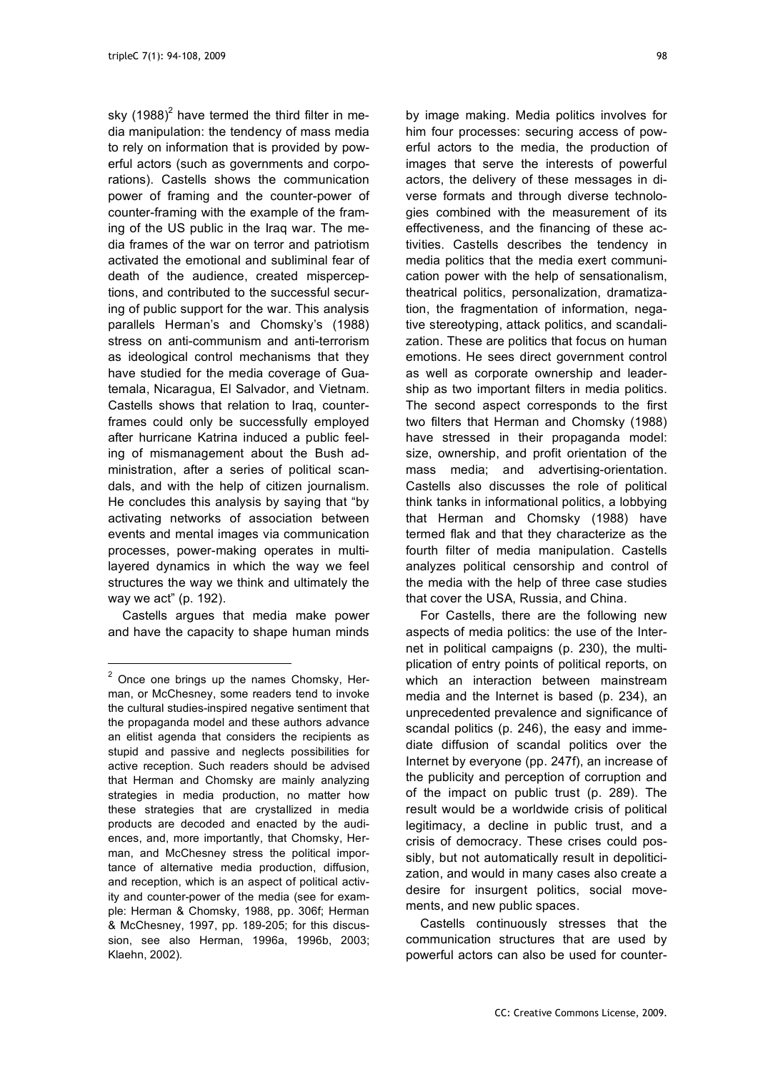98

sky (1988)<sup>2</sup> have termed the third filter in media manipulation: the tendency of mass media to rely on information that is provided by powerful actors (such as governments and corporations). Castells shows the communication power of framing and the counter-power of counter-framing with the example of the framing of the US public in the Iraq war. The media frames of the war on terror and patriotism activated the emotional and subliminal fear of death of the audience, created misperceptions, and contributed to the successful securing of public support for the war. This analysis parallels Herman's and Chomsky's (1988) stress on anti-communism and anti-terrorism as ideological control mechanisms that they have studied for the media coverage of Guatemala, Nicaragua, El Salvador, and Vietnam. Castells shows that relation to Iraq, counterframes could only be successfully employed after hurricane Katrina induced a public feeling of mismanagement about the Bush administration, after a series of political scandals, and with the help of citizen journalism. He concludes this analysis by saying that "by activating networks of association between events and mental images via communication processes, power-making operates in multilayered dynamics in which the way we feel structures the way we think and ultimately the way we act" (p. 192).

Castells argues that media make power and have the capacity to shape human minds

by image making. Media politics involves for him four processes: securing access of powerful actors to the media, the production of images that serve the interests of powerful actors, the delivery of these messages in diverse formats and through diverse technologies combined with the measurement of its effectiveness, and the financing of these activities. Castells describes the tendency in media politics that the media exert communication power with the help of sensationalism, theatrical politics, personalization, dramatization, the fragmentation of information, negative stereotyping, attack politics, and scandalization. These are politics that focus on human emotions. He sees direct government control as well as corporate ownership and leadership as two important filters in media politics. The second aspect corresponds to the first two filters that Herman and Chomsky (1988) have stressed in their propaganda model: size, ownership, and profit orientation of the mass media; and advertising-orientation. Castells also discusses the role of political think tanks in informational politics, a lobbying that Herman and Chomsky (1988) have termed flak and that they characterize as the fourth filter of media manipulation. Castells analyzes political censorship and control of the media with the help of three case studies that cover the USA, Russia, and China.

For Castells, there are the following new aspects of media politics: the use of the Internet in political campaigns (p. 230), the multiplication of entry points of political reports, on which an interaction between mainstream media and the Internet is based (p. 234), an unprecedented prevalence and significance of scandal politics (p. 246), the easy and immediate diffusion of scandal politics over the Internet by everyone (pp. 247f), an increase of the publicity and perception of corruption and of the impact on public trust (p. 289). The result would be a worldwide crisis of political legitimacy, a decline in public trust, and a crisis of democracy. These crises could possibly, but not automatically result in depoliticization, and would in many cases also create a desire for insurgent politics, social movements, and new public spaces.

Castells continuously stresses that the communication structures that are used by powerful actors can also be used for counter-

 $2$  Once one brings up the names Chomsky, Herman, or McChesney, some readers tend to invoke the cultural studies-inspired negative sentiment that the propaganda model and these authors advance an elitist agenda that considers the recipients as stupid and passive and neglects possibilities for active reception. Such readers should be advised that Herman and Chomsky are mainly analyzing strategies in media production, no matter how these strategies that are crystallized in media products are decoded and enacted by the audiences, and, more importantly, that Chomsky, Herman, and McChesney stress the political importance of alternative media production, diffusion, and reception, which is an aspect of political activity and counter-power of the media (see for example: Herman & Chomsky, 1988, pp. 306f; Herman & McChesney, 1997, pp. 189-205; for this discussion, see also Herman, 1996a, 1996b, 2003; Klaehn, 2002).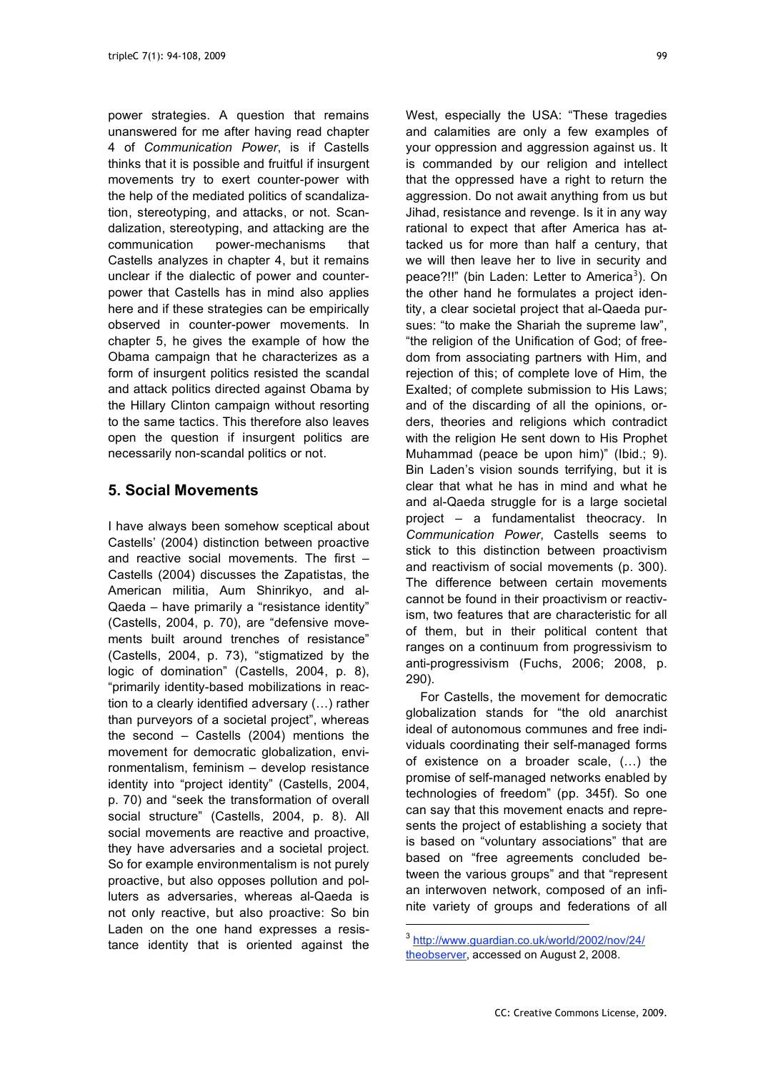power strategies. A question that remains unanswered for me after having read chapter 4 of *Communication Power*, is if Castells thinks that it is possible and fruitful if insurgent movements try to exert counter-power with the help of the mediated politics of scandalization, stereotyping, and attacks, or not. Scandalization, stereotyping, and attacking are the communication power-mechanisms that Castells analyzes in chapter 4, but it remains unclear if the dialectic of power and counterpower that Castells has in mind also applies here and if these strategies can be empirically observed in counter-power movements. In chapter 5, he gives the example of how the Obama campaign that he characterizes as a form of insurgent politics resisted the scandal and attack politics directed against Obama by the Hillary Clinton campaign without resorting to the same tactics. This therefore also leaves open the question if insurgent politics are necessarily non-scandal politics or not.

# **5. Social Movements**

I have always been somehow sceptical about Castells' (2004) distinction between proactive and reactive social movements. The first – Castells (2004) discusses the Zapatistas, the American militia, Aum Shinrikyo, and al-Qaeda – have primarily a "resistance identity" (Castells, 2004, p. 70), are "defensive movements built around trenches of resistance" (Castells, 2004, p. 73), "stigmatized by the logic of domination" (Castells, 2004, p. 8), "primarily identity-based mobilizations in reaction to a clearly identified adversary (…) rather than purveyors of a societal project", whereas the second – Castells (2004) mentions the movement for democratic globalization, environmentalism, feminism – develop resistance identity into "project identity" (Castells, 2004, p. 70) and "seek the transformation of overall social structure" (Castells, 2004, p. 8). All social movements are reactive and proactive, they have adversaries and a societal project. So for example environmentalism is not purely proactive, but also opposes pollution and polluters as adversaries, whereas al-Qaeda is not only reactive, but also proactive: So bin Laden on the one hand expresses a resistance identity that is oriented against the

West, especially the USA: "These tragedies and calamities are only a few examples of your oppression and aggression against us. It is commanded by our religion and intellect that the oppressed have a right to return the aggression. Do not await anything from us but Jihad, resistance and revenge. Is it in any way rational to expect that after America has attacked us for more than half a century, that we will then leave her to live in security and peace?!!" (bin Laden: Letter to America<sup>3</sup>). On the other hand he formulates a project identity, a clear societal project that al-Qaeda pursues: "to make the Shariah the supreme law", "the religion of the Unification of God; of freedom from associating partners with Him, and rejection of this; of complete love of Him, the Exalted; of complete submission to His Laws; and of the discarding of all the opinions, orders, theories and religions which contradict with the religion He sent down to His Prophet Muhammad (peace be upon him)" (Ibid.; 9). Bin Laden's vision sounds terrifying, but it is clear that what he has in mind and what he and al-Qaeda struggle for is a large societal project – a fundamentalist theocracy. In *Communication Power*, Castells seems to stick to this distinction between proactivism and reactivism of social movements (p. 300). The difference between certain movements cannot be found in their proactivism or reactivism, two features that are characteristic for all of them, but in their political content that ranges on a continuum from progressivism to anti-progressivism (Fuchs, 2006; 2008, p. 290).

For Castells, the movement for democratic globalization stands for "the old anarchist ideal of autonomous communes and free individuals coordinating their self-managed forms of existence on a broader scale, (…) the promise of self-managed networks enabled by technologies of freedom" (pp. 345f). So one can say that this movement enacts and represents the project of establishing a society that is based on "voluntary associations" that are based on "free agreements concluded between the various groups" and that "represent an interwoven network, composed of an infinite variety of groups and federations of all

 <sup>3</sup> http://www.guardian.co.uk/world/2002/nov/24/ theobserver, accessed on August 2, 2008.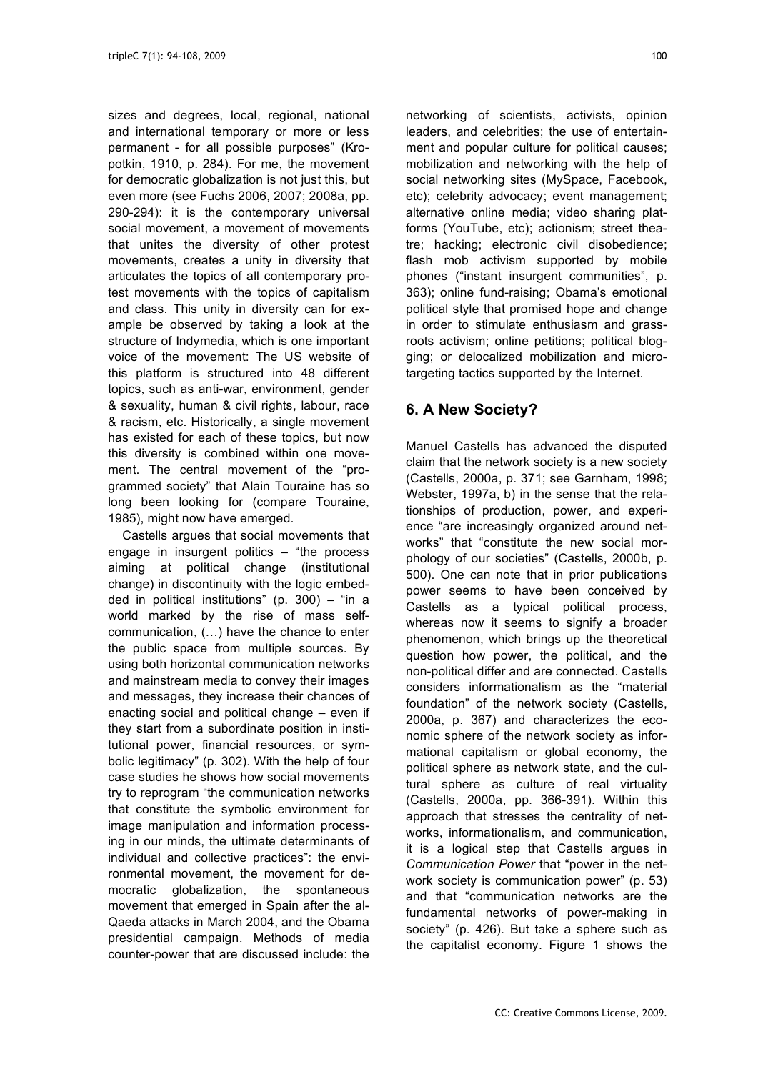sizes and degrees, local, regional, national and international temporary or more or less permanent - for all possible purposes" (Kropotkin, 1910, p. 284). For me, the movement for democratic globalization is not just this, but even more (see Fuchs 2006, 2007; 2008a, pp. 290-294): it is the contemporary universal social movement, a movement of movements that unites the diversity of other protest movements, creates a unity in diversity that articulates the topics of all contemporary protest movements with the topics of capitalism and class. This unity in diversity can for example be observed by taking a look at the structure of Indymedia, which is one important voice of the movement: The US website of this platform is structured into 48 different topics, such as anti-war, environment, gender & sexuality, human & civil rights, labour, race & racism, etc. Historically, a single movement has existed for each of these topics, but now this diversity is combined within one movement. The central movement of the "programmed society" that Alain Touraine has so long been looking for (compare Touraine, 1985), might now have emerged.

Castells argues that social movements that engage in insurgent politics – "the process aiming at political change (institutional change) in discontinuity with the logic embedded in political institutions" (p. 300) – "in a world marked by the rise of mass selfcommunication, (…) have the chance to enter the public space from multiple sources. By using both horizontal communication networks and mainstream media to convey their images and messages, they increase their chances of enacting social and political change – even if they start from a subordinate position in institutional power, financial resources, or symbolic legitimacy" (p. 302). With the help of four case studies he shows how social movements try to reprogram "the communication networks that constitute the symbolic environment for image manipulation and information processing in our minds, the ultimate determinants of individual and collective practices": the environmental movement, the movement for democratic globalization, the spontaneous movement that emerged in Spain after the al-Qaeda attacks in March 2004, and the Obama presidential campaign. Methods of media counter-power that are discussed include: the

networking of scientists, activists, opinion leaders, and celebrities; the use of entertainment and popular culture for political causes; mobilization and networking with the help of social networking sites (MySpace, Facebook, etc); celebrity advocacy; event management; alternative online media; video sharing platforms (YouTube, etc); actionism; street theatre; hacking; electronic civil disobedience; flash mob activism supported by mobile phones ("instant insurgent communities", p. 363); online fund-raising; Obama's emotional political style that promised hope and change in order to stimulate enthusiasm and grassroots activism; online petitions; political blogging; or delocalized mobilization and microtargeting tactics supported by the Internet.

# **6. A New Society?**

Manuel Castells has advanced the disputed claim that the network society is a new society (Castells, 2000a, p. 371; see Garnham, 1998; Webster, 1997a, b) in the sense that the relationships of production, power, and experience "are increasingly organized around networks" that "constitute the new social morphology of our societies" (Castells, 2000b, p. 500). One can note that in prior publications power seems to have been conceived by Castells as a typical political process, whereas now it seems to signify a broader phenomenon, which brings up the theoretical question how power, the political, and the non-political differ and are connected. Castells considers informationalism as the "material foundation" of the network society (Castells, 2000a, p. 367) and characterizes the economic sphere of the network society as informational capitalism or global economy, the political sphere as network state, and the cultural sphere as culture of real virtuality (Castells, 2000a, pp. 366-391). Within this approach that stresses the centrality of networks, informationalism, and communication, it is a logical step that Castells argues in *Communication Power* that "power in the network society is communication power" (p. 53) and that "communication networks are the fundamental networks of power-making in society" (p. 426). But take a sphere such as the capitalist economy. Figure 1 shows the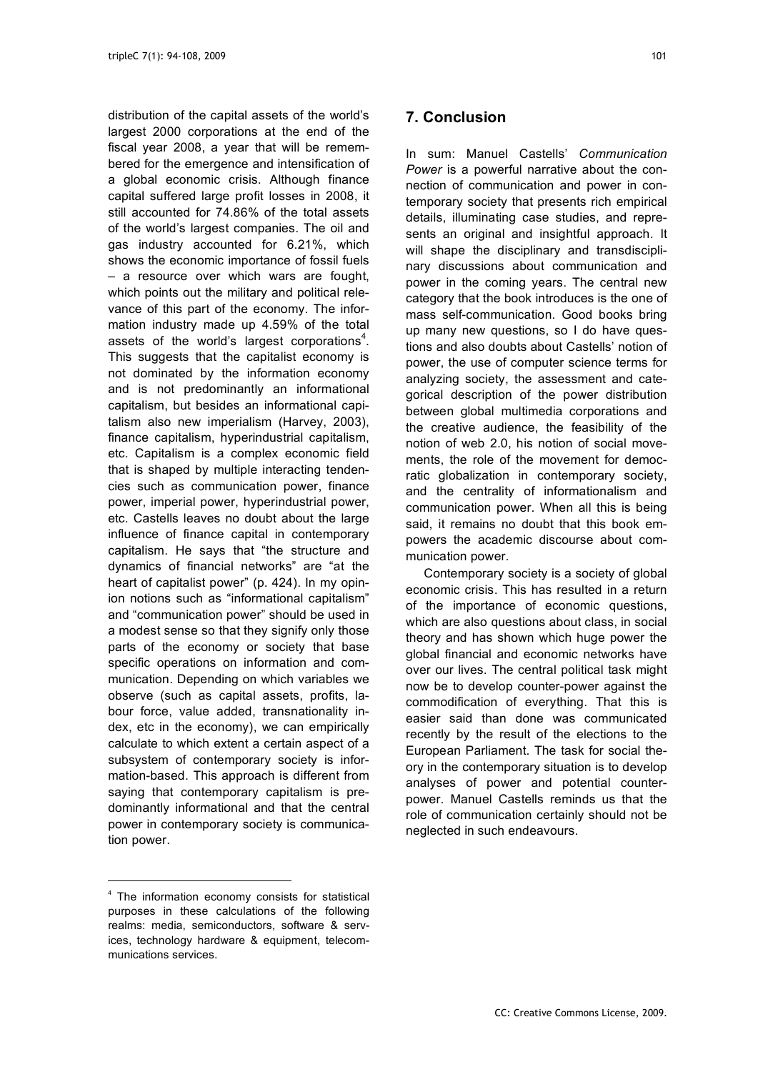distribution of the capital assets of the world's largest 2000 corporations at the end of the fiscal year 2008, a year that will be remembered for the emergence and intensification of a global economic crisis. Although finance capital suffered large profit losses in 2008, it still accounted for 74.86% of the total assets of the world's largest companies. The oil and gas industry accounted for 6.21%, which shows the economic importance of fossil fuels – a resource over which wars are fought, which points out the military and political relevance of this part of the economy. The information industry made up 4.59% of the total assets of the world's largest corporations $4$ . This suggests that the capitalist economy is not dominated by the information economy and is not predominantly an informational capitalism, but besides an informational capitalism also new imperialism (Harvey, 2003), finance capitalism, hyperindustrial capitalism, etc. Capitalism is a complex economic field that is shaped by multiple interacting tendencies such as communication power, finance power, imperial power, hyperindustrial power, etc. Castells leaves no doubt about the large influence of finance capital in contemporary capitalism. He says that "the structure and dynamics of financial networks" are "at the heart of capitalist power" (p. 424). In my opinion notions such as "informational capitalism" and "communication power" should be used in a modest sense so that they signify only those parts of the economy or society that base specific operations on information and communication. Depending on which variables we observe (such as capital assets, profits, labour force, value added, transnationality index, etc in the economy), we can empirically calculate to which extent a certain aspect of a subsystem of contemporary society is information-based. This approach is different from saying that contemporary capitalism is predominantly informational and that the central power in contemporary society is communication power.

#### **7. Conclusion**

In sum: Manuel Castells' *Communication Power* is a powerful narrative about the connection of communication and power in contemporary society that presents rich empirical details, illuminating case studies, and represents an original and insightful approach. It will shape the disciplinary and transdisciplinary discussions about communication and power in the coming years. The central new category that the book introduces is the one of mass self-communication. Good books bring up many new questions, so I do have questions and also doubts about Castells' notion of power, the use of computer science terms for analyzing society, the assessment and categorical description of the power distribution between global multimedia corporations and the creative audience, the feasibility of the notion of web 2.0, his notion of social movements, the role of the movement for democratic globalization in contemporary society, and the centrality of informationalism and communication power. When all this is being said, it remains no doubt that this book empowers the academic discourse about communication power.

Contemporary society is a society of global economic crisis. This has resulted in a return of the importance of economic questions, which are also questions about class, in social theory and has shown which huge power the global financial and economic networks have over our lives. The central political task might now be to develop counter-power against the commodification of everything. That this is easier said than done was communicated recently by the result of the elections to the European Parliament. The task for social theory in the contemporary situation is to develop analyses of power and potential counterpower. Manuel Castells reminds us that the role of communication certainly should not be neglected in such endeavours.

 <sup>4</sup> The information economy consists for statistical purposes in these calculations of the following realms: media, semiconductors, software & services, technology hardware & equipment, telecommunications services.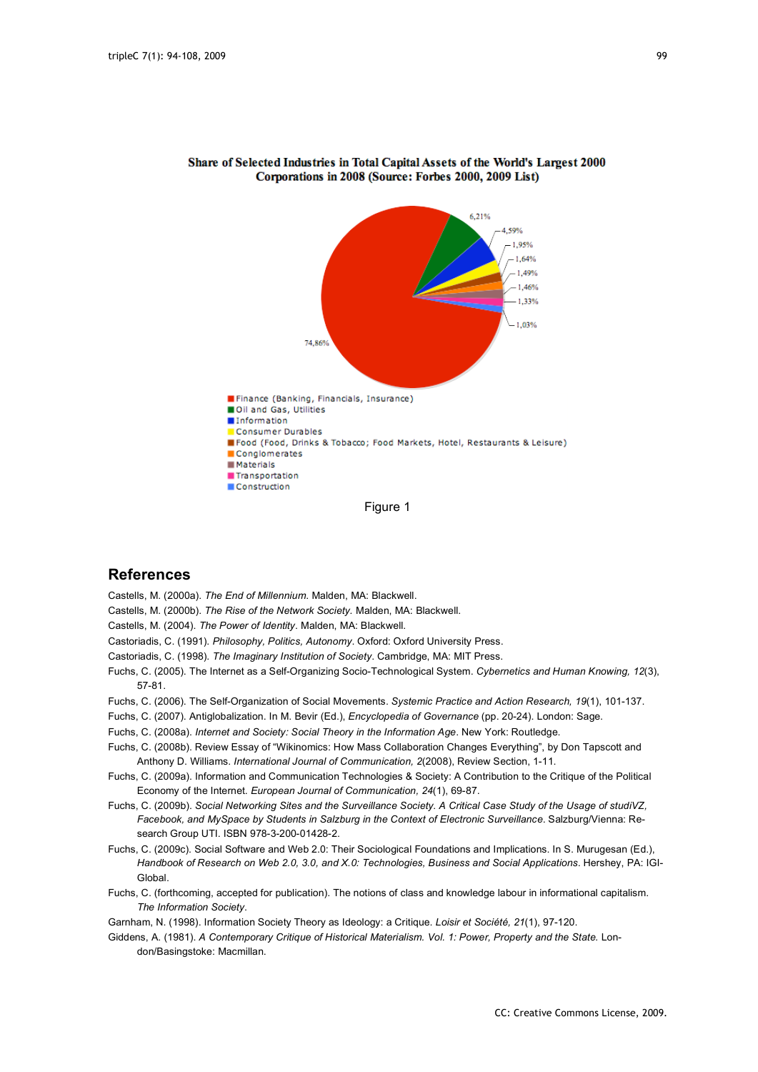

#### Share of Selected Industries in Total Capital Assets of the World's Largest 2000 Corporations in 2008 (Source: Forbes 2000, 2009 List)

Figure 1

#### **References**

Castells, M. (2000a). *The End of Millennium*. Malden, MA: Blackwell.

- Castells, M. (2000b). *The Rise of the Network Society.* Malden, MA: Blackwell.
- Castells, M. (2004). *The Power of Identity*. Malden, MA: Blackwell.
- Castoriadis, C. (1991). *Philosophy, Politics, Autonomy*. Oxford: Oxford University Press.
- Castoriadis, C. (1998). *The Imaginary Institution of Society*. Cambridge, MA: MIT Press.
- Fuchs, C. (2005). The Internet as a Self-Organizing Socio-Technological System. *Cybernetics and Human Knowing, 12*(3), 57-81.
- Fuchs, C. (2006). The Self-Organization of Social Movements. *Systemic Practice and Action Research, 19*(1), 101-137.
- Fuchs, C. (2007). Antiglobalization. In M. Bevir (Ed.), *Encyclopedia of Governance* (pp. 20-24). London: Sage.
- Fuchs, C. (2008a). *Internet and Society: Social Theory in the Information Age*. New York: Routledge.
- Fuchs, C. (2008b). Review Essay of "Wikinomics: How Mass Collaboration Changes Everything", by Don Tapscott and Anthony D. Williams. *International Journal of Communication, 2*(2008), Review Section, 1-11.
- Fuchs, C. (2009a). Information and Communication Technologies & Society: A Contribution to the Critique of the Political Economy of the Internet. *European Journal of Communication, 24*(1), 69-87.
- Fuchs, C. (2009b). *Social Networking Sites and the Surveillance Society. A Critical Case Study of the Usage of studiVZ, Facebook, and MySpace by Students in Salzburg in the Context of Electronic Surveillance*. Salzburg/Vienna: Research Group UTI. ISBN 978-3-200-01428-2.
- Fuchs, C. (2009c). Social Software and Web 2.0: Their Sociological Foundations and Implications. In S. Murugesan (Ed.), *Handbook of Research on Web 2.0, 3.0, and X.0: Technologies, Business and Social Applications*. Hershey, PA: IGI-Global.
- Fuchs, C. (forthcoming, accepted for publication). The notions of class and knowledge labour in informational capitalism. *The Information Society*.
- Garnham, N. (1998). Information Society Theory as Ideology: a Critique. *Loisir et Société, 21*(1), 97-120.
- Giddens, A. (1981). *A Contemporary Critique of Historical Materialism. Vol. 1: Power, Property and the State.* London/Basingstoke: Macmillan.